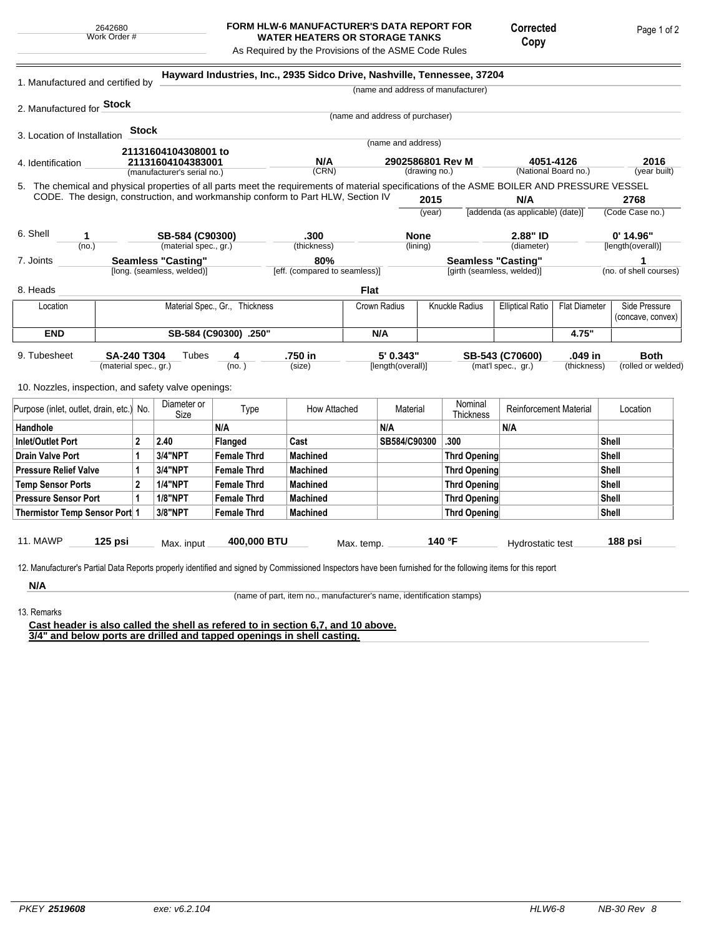## **FORM HLW-6 MANUFACTURER'S DATA REPORT FOR WATER HEATERS OR STORAGE TANKS**

Corrected Copy

Page 1 of 2

As Required by the Provisions of the ASME Code Rules

| 1. Manufactured and certified by                                                                                                                                                                                                |                       |                                                  |                            | Hayward Industries, Inc., 2935 Sidco Drive, Nashville, Tennessee, 37204 |                               |            |                                   |        |                                    |                                   |                      |                        |
|---------------------------------------------------------------------------------------------------------------------------------------------------------------------------------------------------------------------------------|-----------------------|--------------------------------------------------|----------------------------|-------------------------------------------------------------------------|-------------------------------|------------|-----------------------------------|--------|------------------------------------|-----------------------------------|----------------------|------------------------|
|                                                                                                                                                                                                                                 |                       |                                                  |                            |                                                                         |                               |            |                                   |        | (name and address of manufacturer) |                                   |                      |                        |
| 2. Manufactured for <b>Stock</b>                                                                                                                                                                                                |                       |                                                  |                            |                                                                         |                               |            |                                   |        |                                    |                                   |                      |                        |
|                                                                                                                                                                                                                                 |                       |                                                  |                            |                                                                         |                               |            | (name and address of purchaser)   |        |                                    |                                   |                      |                        |
| 3. Location of Installation                                                                                                                                                                                                     |                       | <b>Stock</b>                                     |                            |                                                                         |                               |            | (name and address)                |        |                                    |                                   |                      |                        |
|                                                                                                                                                                                                                                 |                       |                                                  | 21131604104308001 to       |                                                                         |                               |            |                                   |        |                                    |                                   |                      |                        |
| 4. Identification                                                                                                                                                                                                               |                       | 21131604104383001<br>(manufacturer's serial no.) |                            |                                                                         | N/A<br>(CRN)                  |            | 2902586801 Rev M<br>(drawing no.) |        |                                    | 4051-4126<br>(National Board no.) | 2016<br>(year built) |                        |
|                                                                                                                                                                                                                                 |                       |                                                  |                            |                                                                         |                               |            |                                   |        |                                    |                                   |                      |                        |
| 5. The chemical and physical properties of all parts meet the requirements of material specifications of the ASME BOILER AND PRESSURE VESSEL<br>CODE. The design, construction, and workmanship conform to Part HLW, Section IV |                       |                                                  |                            |                                                                         |                               |            |                                   | 2015   |                                    | N/A                               |                      | 2768                   |
|                                                                                                                                                                                                                                 |                       |                                                  |                            |                                                                         |                               |            |                                   | (year) |                                    | [addenda (as applicable) (date)]  |                      | (Code Case no.)        |
|                                                                                                                                                                                                                                 |                       |                                                  |                            |                                                                         |                               |            |                                   |        |                                    |                                   |                      |                        |
| 6. Shell<br>1                                                                                                                                                                                                                   |                       |                                                  | SB-584 (C90300)            |                                                                         | .300                          |            | <b>None</b>                       |        |                                    | 2.88" ID                          |                      | $0'$ 14.96"            |
| (no.)                                                                                                                                                                                                                           |                       |                                                  | (material spec., gr.)      |                                                                         | (thickness)                   |            | (lining)                          |        |                                    | (diameter)                        |                      | [length(overall)]      |
| 7. Joints                                                                                                                                                                                                                       |                       |                                                  | <b>Seamless "Casting"</b>  |                                                                         | 80%                           |            | <b>Seamless "Casting"</b>         |        |                                    |                                   |                      | 1                      |
|                                                                                                                                                                                                                                 |                       |                                                  | [long. (seamless, welded)] |                                                                         | [eff. (compared to seamless)] |            |                                   |        | [girth (seamless, welded)]         |                                   |                      | (no. of shell courses) |
| 8. Heads                                                                                                                                                                                                                        |                       |                                                  |                            |                                                                         |                               | Flat       |                                   |        |                                    |                                   |                      |                        |
| Location                                                                                                                                                                                                                        |                       |                                                  |                            | Material Spec., Gr., Thickness                                          |                               |            | Crown Radius                      |        | Knuckle Radius                     | <b>Elliptical Ratio</b>           | <b>Flat Diameter</b> | Side Pressure          |
|                                                                                                                                                                                                                                 |                       |                                                  |                            |                                                                         |                               |            |                                   |        |                                    |                                   |                      | (concave, convex)      |
| <b>END</b>                                                                                                                                                                                                                      | SB-584 (C90300) .250" |                                                  |                            |                                                                         |                               | N/A        |                                   |        |                                    | 4.75"                             |                      |                        |
| 9. Tubesheet                                                                                                                                                                                                                    | <b>SA-240 T304</b>    |                                                  | Tubes                      | 4                                                                       | .750 in                       |            | 5' 0.343"                         |        |                                    | SB-543 (C70600)                   | .049 in              | <b>Both</b>            |
|                                                                                                                                                                                                                                 | (material spec., gr.) |                                                  |                            | (no.)                                                                   | (size)                        |            | [length(overall)]                 |        |                                    | (mat'l spec., gr.)                | (thickness)          | (rolled or welded)     |
|                                                                                                                                                                                                                                 |                       |                                                  |                            |                                                                         |                               |            |                                   |        |                                    |                                   |                      |                        |
| 10. Nozzles, inspection, and safety valve openings:                                                                                                                                                                             |                       |                                                  |                            |                                                                         |                               |            |                                   |        |                                    |                                   |                      |                        |
| Purpose (inlet, outlet, drain, etc.) No.                                                                                                                                                                                        |                       |                                                  | Diameter or<br>Size        | Type                                                                    | How Attached                  |            | Material                          |        | Nominal<br>Thickness               | Reinforcement Material            |                      | Location               |
| Handhole                                                                                                                                                                                                                        |                       |                                                  |                            | N/A                                                                     |                               |            | N/A                               |        |                                    | N/A                               |                      |                        |
| <b>Inlet/Outlet Port</b>                                                                                                                                                                                                        |                       | $\overline{2}$                                   | 2.40                       | Flanged                                                                 | Cast                          |            | SB584/C90300                      |        | .300                               |                                   |                      | <b>Shell</b>           |
| <b>Drain Valve Port</b>                                                                                                                                                                                                         |                       | 1                                                | <b>3/4"NPT</b>             | <b>Female Thrd</b>                                                      | <b>Machined</b>               |            |                                   |        | <b>Thrd Opening</b>                |                                   |                      | <b>Shell</b>           |
| <b>Pressure Relief Valve</b>                                                                                                                                                                                                    |                       | 1                                                | <b>3/4"NPT</b>             | <b>Female Thrd</b>                                                      | <b>Machined</b>               |            |                                   |        | <b>Thrd Opening</b>                |                                   |                      | Shell                  |
| <b>Temp Sensor Ports</b>                                                                                                                                                                                                        |                       | $\overline{2}$                                   | <b>1/4"NPT</b>             | <b>Female Thrd</b>                                                      | <b>Machined</b>               |            |                                   |        | <b>Thrd Opening</b>                |                                   |                      | Shell                  |
| <b>Pressure Sensor Port</b>                                                                                                                                                                                                     |                       | $\mathbf{1}$                                     | <b>1/8"NPT</b>             | <b>Female Thrd</b>                                                      | <b>Machined</b>               |            |                                   |        | <b>Thrd Opening</b>                |                                   |                      | Shell                  |
| Thermistor Temp Sensor Port 1                                                                                                                                                                                                   |                       |                                                  | 3/8"NPT                    | <b>Female Thrd</b>                                                      | <b>Machined</b>               |            |                                   |        | <b>Thrd Opening</b>                |                                   |                      | <b>Shell</b>           |
|                                                                                                                                                                                                                                 |                       |                                                  |                            |                                                                         |                               |            |                                   |        |                                    |                                   |                      |                        |
| <b>11. MAWP</b>                                                                                                                                                                                                                 | 125 psi               |                                                  | Max. input                 | 400,000 BTU                                                             |                               | Max. temp. |                                   |        | 140 °F                             | Hydrostatic test                  |                      | 188 psi                |
|                                                                                                                                                                                                                                 |                       |                                                  |                            |                                                                         |                               |            |                                   |        |                                    |                                   |                      |                        |
| 12. Manufacturer's Partial Data Reports properly identified and signed by Commissioned Inspectors have been furnished for the following items for this report                                                                   |                       |                                                  |                            |                                                                         |                               |            |                                   |        |                                    |                                   |                      |                        |

**N/A** 13. Remarks

(name of part, item no., manufacturer's name, identification stamps)

**Cast header is also called the shell as refered to in section 6,7, and 10 above. 3/4" and below ports are drilled and tapped openings in shell casting.**